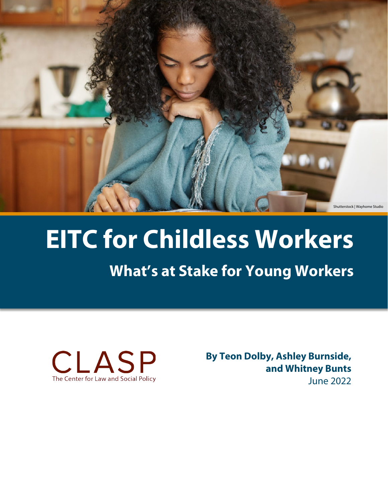

# **EITC for Childless Workers**

# **What's at Stake for Young Workers**



**By Teon Dolby, Ashley Burnside, and Whitney Bunts** June 2022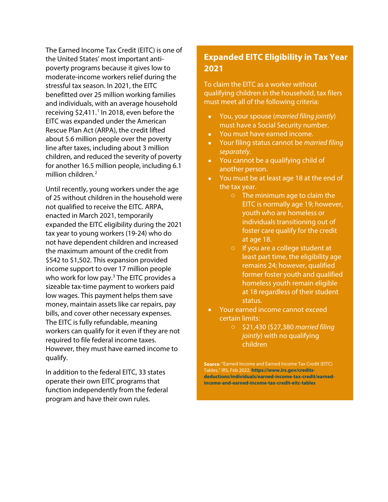The Earned Income Tax Credit (EITC) is one of the United States' most important antipoverty programs because it gives low to moderate-income workers relief during the stressful tax season. In 2021, the EITC benefitted over 25 million working families and individuals, with an average household receiving  $$2,411$  $$2,411$  $$2,411$ .<sup>1</sup> In 2018, even before the EITC was expanded under the American Rescue Plan Act (ARPA), the credit lifted about 5.6 million people over the poverty line after taxes, including about 3 million children, and reduced the severity of poverty for another 16.5 million people, including 6.1 million children.<sup>[2](#page-7-1)</sup>

Until recently, young workers under the age of 25 without children in the household were not qualified to receive the EITC. ARPA, enacted in March 2021, temporarily expanded the EITC eligibility during the 2021 tax year to young workers (19-24) who do not have dependent children and increased the maximum amount of the credit from \$542 to \$1,502. This expansion provided income support to over 17 million people who work for low pay.<sup>[3](#page-7-2)</sup> The EITC provides a sizeable tax-time payment to workers paid low wages. This payment helps them save money, maintain assets like car repairs, pay bills, and cover other necessary expenses. The EITC is fully refundable, meaning workers can qualify for it even if they are not required to file federal income taxes. However, they must have earned income to qualify.

In addition to the federal EITC, 33 states operate their own EITC programs that function independently from the federal program and have their own rules.

## **Expanded EITC Eligibility in Tax Year 2021**

To claim the EITC as a worker without qualifying children in the household, tax filers must meet all of the following criteria:

- You, your spouse (*married filing jointly*) must have a Social Security number.
- You must have earned income.
- Your filing status cannot be *married filing separately*.
- You cannot be a qualifying child of another person.
- You must be at least age 18 at the end of the tax year.
	- o The minimum age to claim the EITC is normally age 19; however, youth who are homeless or individuals transitioning out of foster care qualify for the credit at age 18.
	- o If you are a college student at least part time, the eligibility age remains 24; however, qualified former foster youth and qualified homeless youth remain eligible at 18 regardless of their student status.
- Your earned income cannot exceed certain limits:
	- o \$21,430 (\$27,380 *married filing jointly*) with no qualifying children

**Source**: "Earned Income and Earned Income Tax Credit (EITC) Tables," IRS, Feb 2022, **[https://www.irs.gov/credits](https://www.irs.gov/credits-deductions/individuals/earned-income-tax-credit/earned-income-and-earned-income-tax-credit-eitc-tables)[deductions/individuals/earned-income-tax-credit/earned](https://www.irs.gov/credits-deductions/individuals/earned-income-tax-credit/earned-income-and-earned-income-tax-credit-eitc-tables)[income-and-earned-income-tax-credit-eitc-tables](https://www.irs.gov/credits-deductions/individuals/earned-income-tax-credit/earned-income-and-earned-income-tax-credit-eitc-tables)**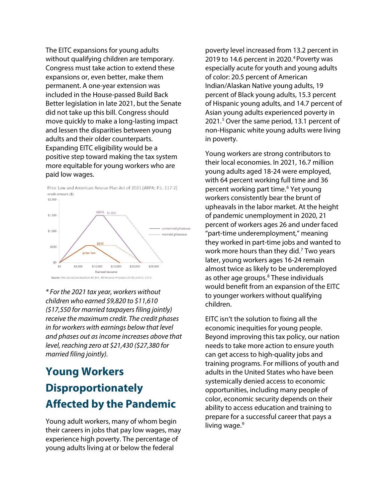The EITC expansions for young adults without qualifying children are temporary. Congress must take action to extend these expansions or, even better, make them permanent. A one-year extension was included in the House-passed Build Back Better legislation in late 2021, but the Senate did not take up this bill. Congress should move quickly to make a long-lasting impact and lessen the disparities between young adults and their older counterparts. Expanding EITC eligibility would be a positive step toward making the tax system more equitable for young workers who are paid low wages.



Prior Law and American Rescue Plan Act of 2021 (ARPA; P.L. 117-2) credit amount (\$)

*\* For the 2021 tax year, workers without children who earned \$9,820 to \$11,610 (\$17,550 for married taxpayers filing jointly) receive the maximum credit. The credit phases in for workers with earnings below that level and phases out as income increases above that level, reaching zero at \$21,430 (\$27,380 for married filing jointly).*

## **Young Workers Disproportionately Affected by the Pandemic**

Young adult workers, many of whom begin their careers in jobs that pay low wages, may experience high poverty. The percentage of young adults living at or below the federal

poverty level increased from 13.2 percent in 2019 to 1[4](#page-7-3).6 percent in 2020.<sup>4</sup> Poverty was especially acute for youth and young adults of color: 20.5 percent of American Indian/Alaskan Native young adults, 19 percent of Black young adults, 15.3 percent of Hispanic young adults, and 14.7 percent of Asian young adults experienced poverty in 2021.<sup>[5](#page-7-4)</sup> Over the same period, 13.1 percent of non-Hispanic white young adults were living in poverty.

Young workers are strong contributors to their local economies. In 2021, 16.7 million young adults aged 18-24 were employed, with 64 percent working full time and 36 percent working part time.<sup>[6](#page-7-5)</sup> Yet young workers consistently bear the brunt of upheavals in the labor market. At the height of pandemic unemployment in 2020, 21 percent of workers ages 26 and under faced "part-time underemployment," meaning they worked in part-time jobs and wanted to work more hours than they did. $<sup>7</sup>$  $<sup>7</sup>$  $<sup>7</sup>$  Two years</sup> later, young workers ages 16-24 remain almost twice as likely to be underemployed as other age groups. $8$  These individuals would benefit from an expansion of the EITC to younger workers without qualifying children.

EITC isn't the solution to fixing all the economic inequities for young people. Beyond improving this tax policy, our nation needs to take more action to ensure youth can get access to high-quality jobs and training programs. For millions of youth and adults in the United States who have been systemically denied access to economic opportunities, including many people of color, economic security depends on their ability to access education and training to prepare for a successful career that pays a living wage.<sup>[9](#page-7-8)</sup>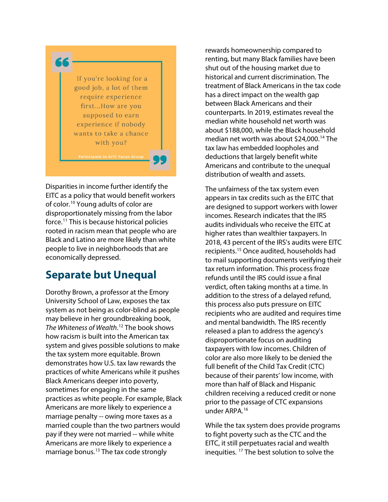

Disparities in income further identify the EITC as a policy that would benefit workers of color.[10](#page-7-9) Young adults of color are disproportionately missing from the labor force.[11](#page-7-10) This is because historical policies rooted in racism mean that people who are Black and Latino are more likely than white people to live in neighborhoods that are economically depressed.

## **Separate but Unequal**

Dorothy Brown, a professor at the Emory University School of Law, exposes the tax system as not being as color-blind as people may believe in her groundbreaking book, *The Whiteness of Wealth*. [12](#page-7-11) The book shows how racism is built into the American tax system and gives possible solutions to make the tax system more equitable. Brown demonstrates how U.S. tax law rewards the practices of white Americans while it pushes Black Americans deeper into poverty, sometimes for engaging in the same practices as white people. For example, Black Americans are more likely to experience a marriage penalty -- owing more taxes as a married couple than the two partners would pay if they were not married -- while white Americans are more likely to experience a marriage bonus.[13](#page-7-12) The tax code strongly

rewards homeownership compared to renting, but many Black families have been shut out of the housing market due to historical and current discrimination. The treatment of Black Americans in the tax code has a direct impact on the wealth gap between Black Americans and their counterparts. In 2019, estimates reveal the median white household net worth was about \$188,000, while the Black household median net worth was about \$24,000.<sup>[14](#page-7-13)</sup> The tax law has embedded loopholes and deductions that largely benefit white Americans and contribute to the unequal distribution of wealth and assets.

The unfairness of the tax system even appears in tax credits such as the EITC that are designed to support workers with lower incomes. Research indicates that the IRS audits individuals who receive the EITC at higher rates than wealthier taxpayers. In 2018, 43 percent of the IRS's audits were EITC recipients.[15](#page-7-14) Once audited, households had to mail supporting documents verifying their tax return information. This process froze refunds until the IRS could issue a final verdict, often taking months at a time. In addition to the stress of a delayed refund, this process also puts pressure on EITC recipients who are audited and requires time and mental bandwidth. The IRS recently released a plan to address the agency's disproportionate focus on auditing taxpayers with low incomes. Children of color are also more likely to be denied the full benefit of the Child Tax Credit (CTC) because of their parents' low income, with more than half of Black and Hispanic children receiving a reduced credit or none prior to the passage of CTC expansions under ARPA. [16](#page-7-15)

While the tax system does provide programs to fight poverty such as the CTC and the EITC, it still perpetuates racial and wealth inequities. [17](#page-7-16) The best solution to solve the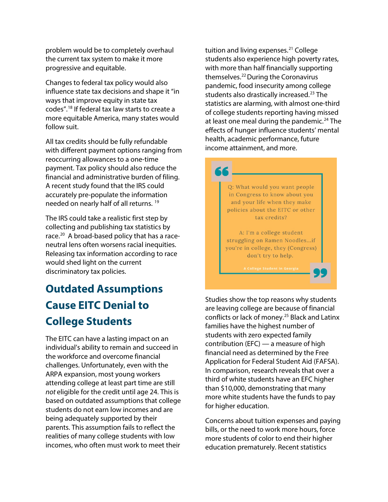problem would be to completely overhaul the current tax system to make it more progressive and equitable.

Changes to federal tax policy would also influence state tax decisions and shape it "in ways that improve equity in state tax codes".[18](#page-7-17) If federal tax law starts to create a more equitable America, many states would follow suit.

All tax credits should be fully refundable with different payment options ranging from reoccurring allowances to a one-time payment. Tax policy should also reduce the financial and administrative burden of filing. A recent study found that the IRS could accurately pre-populate the information needed on nearly half of all returns. [19](#page-7-18)

The IRS could take a realistic first step by collecting and publishing tax statistics by race.<sup>[20](#page-7-19)</sup> A broad-based policy that has a raceneutral lens often worsens racial inequities. Releasing tax information according to race would shed light on the current discriminatory tax policies.

## **Outdated Assumptions Cause EITC Denial to College Students**

The EITC can have a lasting impact on an individual's ability to remain and succeed in the workforce and overcome financial challenges. Unfortunately, even with the ARPA expansion, most young workers attending college at least part time are still *not* eligible for the credit until age 24. This is based on outdated assumptions that college students do not earn low incomes and are being adequately supported by their parents. This assumption fails to reflect the realities of many college students with low incomes, who often must work to meet their

tuition and living expenses. $21$  College students also experience high poverty rates, with more than half financially supporting themselves.<sup>[22](#page-8-1)</sup> During the Coronavirus pandemic, food insecurity among college students also drastically increased.<sup>[23](#page-8-2)</sup> The statistics are alarming, with almost one-third of college students reporting having missed at least one meal during the pandemic.<sup>[24](#page-8-3)</sup> The effects of hunger influence students' mental health, academic performance, future income attainment, and more.



Studies show the top reasons why students are leaving college are because of financial conflicts or lack of money.<sup>[25](#page-8-4)</sup> Black and Latinx families have the highest number of students with zero expected family contribution (EFC) — a measure of high financial need as determined by the Free Application for Federal Student Aid (FAFSA). In comparison, research reveals that over a third of white students have an EFC higher than \$10,000, demonstrating that many more white students have the funds to pay for higher education.

Concerns about tuition expenses and paying bills, or the need to work more hours, force more students of color to end their higher education prematurely. Recent statistics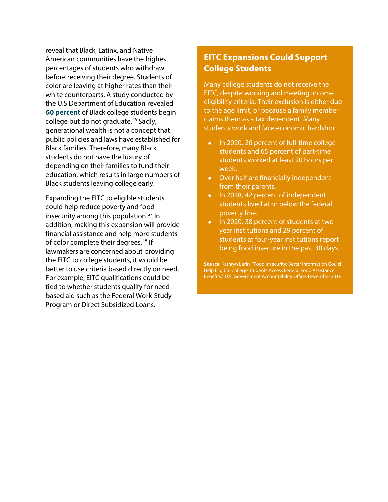reveal that Black, Latinx, and Native American communities have the highest percentages of students who withdraw before receiving their degree. Students of color are leaving at higher rates than their white counterparts. A study conducted by the U.S Department of Education revealed **[60 percent](https://www2.ed.gov/rschstat/research/pubs/advancing-diversity-inclusion.pdf)** of Black college students begin college but do not graduate.<sup>[26](#page-8-5)</sup> Sadly, generational wealth is not a concept that public policies and laws have established for Black families. Therefore, many Black students do not have the luxury of depending on their families to fund their education, which results in large numbers of Black students leaving college early.

Expanding the EITC to eligible students could help reduce poverty and food insecurity among this population.<sup>[27](#page-8-6)</sup> In addition, making this expansion will provide financial assistance and help more students of color complete their degrees.<sup>[28](#page-8-7)</sup> If lawmakers are concerned about providing the EITC to college students, it would be better to use criteria based directly on need. For example, EITC qualifications could be tied to whether students qualify for needbased aid such as the Federal Work-Study Program or Direct Subsidized Loans.

## **EITC Expansions Could Support College Students**

Many college students do not receive the EITC, despite working and meeting income eligibility criteria. Their exclusion is either due to the age limit, or because a family member claims them as a tax dependent. Many students work and face economic hardship:

- In 2020, 26 percent of full-time college students and 65 percent of part-time students worked at least 20 hours per week.
- Over half are financially independent from their parents.
- In 2018, 42 percent of independent students lived at or below the federal poverty line.
- In 2020, 38 percent of students at twoyear institutions and 29 percent of students at four-year institutions report being food insecure in the past 30 days.

**Source**: Kathryn Larin, "Food Insecurity: Better Information Could Help Eligible College Students Access Federal Food Assistance Benefits," U.S. Government Accountability Office, December 2018.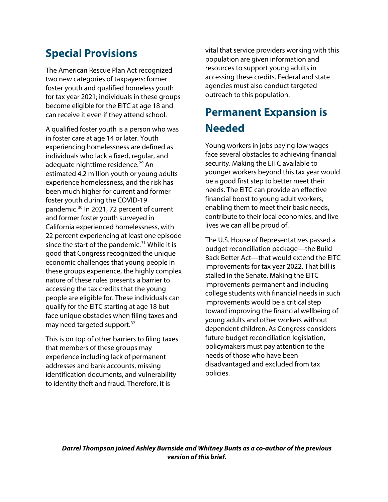## **Special Provisions**

The American Rescue Plan Act recognized two new categories of taxpayers: former foster youth and qualified homeless youth for tax year 2021; individuals in these groups become eligible for the EITC at age 18 and can receive it even if they attend school.

A qualified foster youth is a person who was in foster care at age 14 or later. Youth experiencing homelessness are defined as individuals who lack a fixed, regular, and adequate nighttime residence.<sup>[29](#page-8-8)</sup> An estimated 4.2 million youth or young adults experience homelessness, and the risk has been much higher for current and former foster youth during the COVID-19 pandemic.[30](#page-8-9) In 2021, 72 percent of current and former foster youth surveyed in California experienced homelessness, with 22 percent experiencing at least one episode since the start of the pandemic.<sup>[31](#page-8-10)</sup> While it is good that Congress recognized the unique economic challenges that young people in these groups experience, the highly complex nature of these rules presents a barrier to accessing the tax credits that the young people are eligible for. These individuals can qualify for the EITC starting at age 18 but face unique obstacles when filing taxes and may need targeted support.<sup>[32](#page-8-11)</sup>

This is on top of other barriers to filing taxes that members of these groups may experience including lack of permanent addresses and bank accounts, missing identification documents, and vulnerability to identity theft and fraud. Therefore, it is

vital that service providers working with this population are given information and resources to support young adults in accessing these credits. Federal and state agencies must also conduct targeted outreach to this population.

## **Permanent Expansion is Needed**

Young workers in jobs paying low wages face several obstacles to achieving financial security. Making the EITC available to younger workers beyond this tax year would be a good first step to better meet their needs. The EITC can provide an effective financial boost to young adult workers, enabling them to meet their basic needs, contribute to their local economies, and live lives we can all be proud of.

The U.S. House of Representatives passed a budget reconciliation package—the Build Back Better Act—that would extend the EITC improvements for tax year 2022. That bill is stalled in the Senate. Making the EITC improvements permanent and including college students with financial needs in such improvements would be a critical step toward improving the financial wellbeing of young adults and other workers without dependent children. As Congress considers future budget reconciliation legislation, policymakers must pay attention to the needs of those who have been disadvantaged and excluded from tax policies.

*Darrel Thompson joined Ashley Burnside and Whitney Bunts as a co-author of the previous version of this brief.*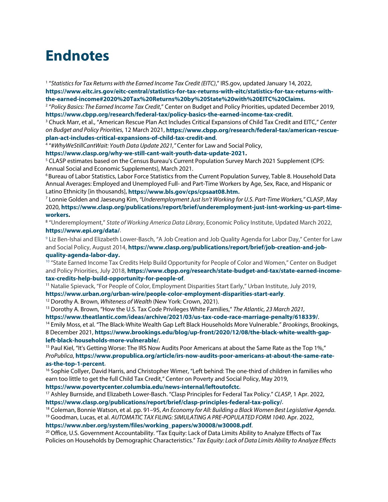## **Endnotes**

<span id="page-7-0"></span><sup>1</sup> "*Statistics for Tax Returns with the Earned Income Tax Credit (EITC)*," IRS.gov, updated January 14, 2022, **[https://www.eitc.irs.gov/eitc-central/statistics-for-tax-returns-with-eitc/statistics-for-tax-returns-with](https://www.eitc.irs.gov/eitc-central/statistics-for-tax-returns-with-eitc/statistics-for-tax-returns-with-the-earned-income#2020%20Tax%20Returns%20by%20State%20with%20EITC%20Claims.)[the-earned-income#2020%20Tax%20Returns%20by%20State%20with%20EITC%20Claims.](https://www.eitc.irs.gov/eitc-central/statistics-for-tax-returns-with-eitc/statistics-for-tax-returns-with-the-earned-income#2020%20Tax%20Returns%20by%20State%20with%20EITC%20Claims.)**

<span id="page-7-1"></span><sup>2</sup> "*Policy Basics: The Earned Income Tax Credit*," Center on Budget and Policy Priorities, updated December 2019, **<https://www.cbpp.org/research/federal-tax/policy-basics-the-earned-income-tax-credit>**.

<span id="page-7-2"></span><sup>3</sup> Chuck Marr, et al., "American Rescue Plan Act Includes Critical Expansions of Child Tax Credit and EITC," *Center on Budget and Policy Priorities*, 12 March 2021, **[https://www.cbpp.org/research/federal-tax/american-rescue](https://www.cbpp.org/research/federal-tax/american-rescue-plan-act-includes-critical-expansions-of-child-tax-credit-and)[plan-act-includes-critical-expansions-of-child-tax-credit-and](https://www.cbpp.org/research/federal-tax/american-rescue-plan-act-includes-critical-expansions-of-child-tax-credit-and)**.

<span id="page-7-3"></span><sup>4</sup> "#*WhyWeStillCantWait: Youth Data Update 2021,"* Center for Law and Social Policy,

**[https://www.clasp.org/why-we-still-cant-wait-youth-data-update-2021.](https://www.clasp.org/why-we-still-cant-wait-youth-data-update-2021)**

<span id="page-7-4"></span><sup>5</sup> CLASP estimates based on the Census Bureau's Current Population Survey March 2021 Supplement (CPS: Annual Social and Economic Supplements), March 2021.

<span id="page-7-5"></span> $6$ Bureau of Labor Statistics, Labor Force Statistics from the Current Population Survey, Table 8. Household Data Annual Averages: Employed and Unemployed Full- and Part-Time Workers by Age, Sex, Race, and Hispanic or Latino Ethnicity [in thousands], **[https://www.bls.gov/cps/cpsaat08.htm.](https://www.bls.gov/cps/cpsaat08.htm)**

<span id="page-7-6"></span><sup>7</sup> Lonnie Golden and Jaeseung Kim, *"Underemployment Just Isn't Working for U.S. Part-Time Workers,"* CLASP, May 2020, **[https://www.clasp.org/publications/report/brief/underemployment-just-isnt-working-us-part-time](https://www.clasp.org/publications/report/brief/underemployment-just-isnt-working-us-part-time-workers)[workers.](https://www.clasp.org/publications/report/brief/underemployment-just-isnt-working-us-part-time-workers)**

<span id="page-7-7"></span><sup>8</sup> "Underemployment," *State of Working America Data Library*, Economic Policy Institute, Updated March 2022, **<https://www.epi.org/data/>**.

<span id="page-7-8"></span><sup>9</sup> Liz Ben-Ishai and Elizabeth Lower-Basch, "A Job Creation and Job Quality Agenda for Labor Day," Center for Law and Social Policy, August 2014, **[https://www.clasp.org/publications/report/brief/job-creation-and-job](https://www.clasp.org/publications/report/brief/job-creation-and-job-quality-agenda-labor-day.)[quality-agenda-labor-day.](https://www.clasp.org/publications/report/brief/job-creation-and-job-quality-agenda-labor-day.)**

<span id="page-7-9"></span><sup>10</sup> "State Earned Income Tax Credits Help Build Opportunity for People of Color and Women," Center on Budget and Policy Priorities, July 2018, **[https://www.cbpp.org/research/state-budget-and-tax/state-earned-income](https://www.cbpp.org/research/state-budget-and-tax/state-earned-income-tax-credits-help-build-opportunity-for-people-of#:%7E:text=State%20EITCs%20build%20on%20the,advancing%20racial%20and%20gender%20equity)[tax-credits-help-build-opportunity-for-people-of](https://www.cbpp.org/research/state-budget-and-tax/state-earned-income-tax-credits-help-build-opportunity-for-people-of#:%7E:text=State%20EITCs%20build%20on%20the,advancing%20racial%20and%20gender%20equity)**.

<span id="page-7-10"></span><sup>11</sup> Natalie Spievack, "For People of Color, Employment Disparities Start Early," Urban Institute, July 2019,

**<https://www.urban.org/urban-wire/people-color-employment-disparities-start-early>**.

<span id="page-7-11"></span><sup>12</sup> Dorothy A. Brown, *Whiteness of Wealth* (New York: Crown, 2021).

<span id="page-7-12"></span><sup>13</sup> Dorothy A. Brown, "How the U.S. Tax Code Privileges White Families," *The Atlantic, 23 March 2021,*

**<https://www.theatlantic.com/ideas/archive/2021/03/us-tax-code-race-marriage-penalty/618339/>**.

<span id="page-7-13"></span><sup>14</sup> Emily Moss, et al. "The Black-White Wealth Gap Left Black Households More Vulnerable." *Brookings*, Brookings, 8 December 2021, **[https://www.brookings.edu/blog/up-front/2020/12/08/the-black-white-wealth-gap](https://www.brookings.edu/blog/up-front/2020/12/08/the-black-white-wealth-gap-left-black-households-more-vulnerable/)[left-black-households-more-vulnerable/](https://www.brookings.edu/blog/up-front/2020/12/08/the-black-white-wealth-gap-left-black-households-more-vulnerable/)**.

<span id="page-7-14"></span><sup>15</sup> Paul Kiel, "It's Getting Worse: The IRS Now Audits Poor Americans at about the Same Rate as the Top 1%," *ProPublica*, **[https://www.propublica.org/article/irs-now-audits-poor-americans-at-about-the-same-rate](https://www.propublica.org/article/irs-now-audits-poor-americans-at-about-the-same-rate-as-the-top-1-percent)[as-the-top-1-percent](https://www.propublica.org/article/irs-now-audits-poor-americans-at-about-the-same-rate-as-the-top-1-percent)**.

<span id="page-7-15"></span><sup>16</sup> Sophie Collyer, David Harris, and Christopher Wimer, "Left behind: The one-third of children in families who earn too little to get the full Child Tax Credit," Center on Poverty and Social Policy, May 2019,

<span id="page-7-16"></span>**https://www.povertycenter.columbia.edu/news-internal/leftoutofctc**[.](https://www.povertycenter.columbia.edu/news-internal/leftoutofctc) 17 Ashley Burnside, and Elizabeth Lower-Basch. "Clasp Principles for Federal Tax Policy." *CLASP*, 1 Apr. 2022, **<https://www.clasp.org/publications/report/brief/clasp-principles-federal-tax-policy/>**.

<span id="page-7-17"></span><sup>18</sup> Coleman, Bonnie Watson, et al. pp. 91–95, *An Economy for All: Building a Black Women Best Legislative Agenda*. <sup>19</sup> Goodman, Lucas, et al. *AUTOMATIC TAX FILING: SIMULATING A PRE-POPULATED FORM 1040*. Apr. 2022,

<span id="page-7-18"></span>**[https://www.nber.org/system/files/working\\_papers/w30008/w30008.pdf](https://www.nber.org/system/files/working_papers/w30008/w30008.pdf)**.

<span id="page-7-19"></span><sup>20</sup> Office, U.S. Government Accountability. "Tax Equity: Lack of Data Limits Ability to Analyze Effects of Tax Policies on Households by Demographic Characteristics." *Tax Equity: Lack of Data Limits Ability to Analyze Effects*